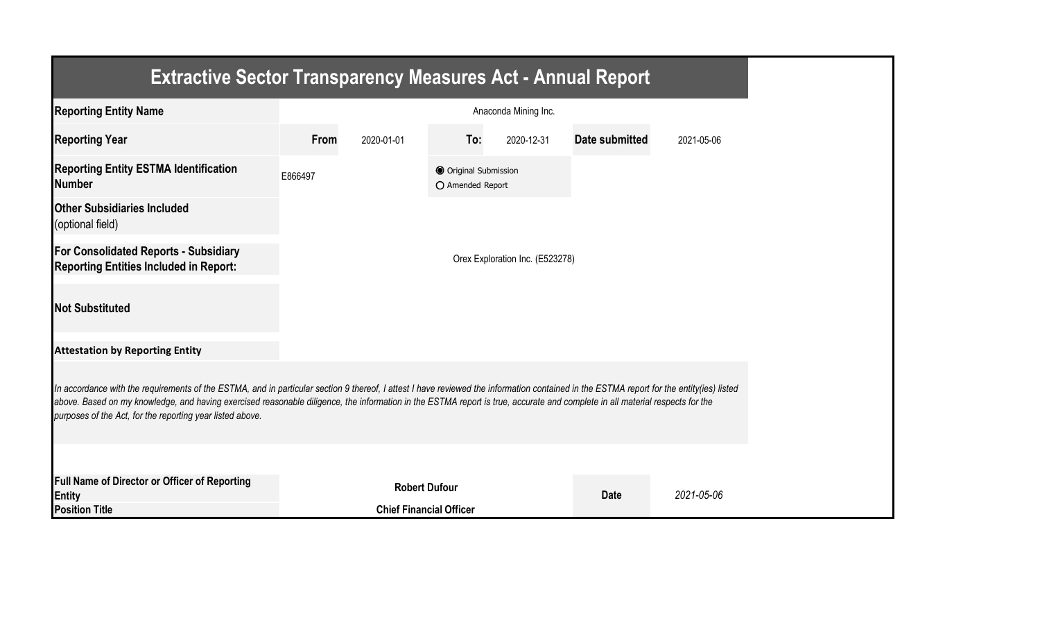| <b>Extractive Sector Transparency Measures Act - Annual Report</b>                                                                                                                                                                                                                                                                                                                                                                    |         |                                |                                           |                                 |                       |            |  |  |  |  |
|---------------------------------------------------------------------------------------------------------------------------------------------------------------------------------------------------------------------------------------------------------------------------------------------------------------------------------------------------------------------------------------------------------------------------------------|---------|--------------------------------|-------------------------------------------|---------------------------------|-----------------------|------------|--|--|--|--|
| <b>Reporting Entity Name</b>                                                                                                                                                                                                                                                                                                                                                                                                          |         |                                |                                           | Anaconda Mining Inc.            |                       |            |  |  |  |  |
| <b>Reporting Year</b>                                                                                                                                                                                                                                                                                                                                                                                                                 | From    | 2020-01-01                     | To:                                       | 2020-12-31                      | <b>Date submitted</b> | 2021-05-06 |  |  |  |  |
| <b>Reporting Entity ESTMA Identification</b><br><b>Number</b>                                                                                                                                                                                                                                                                                                                                                                         | E866497 |                                | O Original Submission<br>O Amended Report |                                 |                       |            |  |  |  |  |
| <b>Other Subsidiaries Included</b><br>(optional field)                                                                                                                                                                                                                                                                                                                                                                                |         |                                |                                           |                                 |                       |            |  |  |  |  |
| For Consolidated Reports - Subsidiary<br><b>Reporting Entities Included in Report:</b>                                                                                                                                                                                                                                                                                                                                                |         |                                |                                           | Orex Exploration Inc. (E523278) |                       |            |  |  |  |  |
| <b>Not Substituted</b>                                                                                                                                                                                                                                                                                                                                                                                                                |         |                                |                                           |                                 |                       |            |  |  |  |  |
| <b>Attestation by Reporting Entity</b>                                                                                                                                                                                                                                                                                                                                                                                                |         |                                |                                           |                                 |                       |            |  |  |  |  |
| In accordance with the requirements of the ESTMA, and in particular section 9 thereof, I attest I have reviewed the information contained in the ESTMA report for the entity(ies) listed<br>above. Based on my knowledge, and having exercised reasonable diligence, the information in the ESTMA report is true, accurate and complete in all material respects for the<br>purposes of the Act, for the reporting year listed above. |         |                                |                                           |                                 |                       |            |  |  |  |  |
|                                                                                                                                                                                                                                                                                                                                                                                                                                       |         |                                |                                           |                                 |                       |            |  |  |  |  |
| <b>Full Name of Director or Officer of Reporting</b><br>Entity                                                                                                                                                                                                                                                                                                                                                                        |         | <b>Robert Dufour</b>           |                                           |                                 | <b>Date</b>           | 2021-05-06 |  |  |  |  |
| <b>Position Title</b>                                                                                                                                                                                                                                                                                                                                                                                                                 |         | <b>Chief Financial Officer</b> |                                           |                                 |                       |            |  |  |  |  |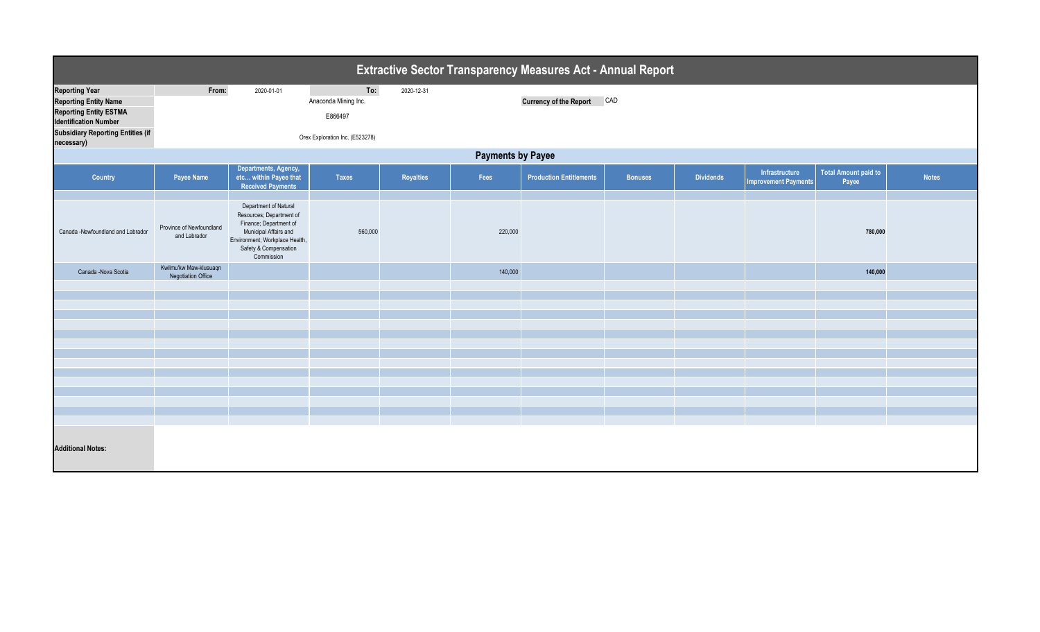| Extractive Sector Transparency Measures Act - Annual Report   |                                                     |                                                                                                                                                                               |                      |                  |         |                                |                |                  |                                               |                                      |              |  |
|---------------------------------------------------------------|-----------------------------------------------------|-------------------------------------------------------------------------------------------------------------------------------------------------------------------------------|----------------------|------------------|---------|--------------------------------|----------------|------------------|-----------------------------------------------|--------------------------------------|--------------|--|
| <b>Reporting Year</b>                                         | From:                                               | 2020-01-01                                                                                                                                                                    | To:                  | 2020-12-31       |         |                                |                |                  |                                               |                                      |              |  |
| <b>Reporting Entity Name</b>                                  |                                                     |                                                                                                                                                                               | Anaconda Mining Inc. |                  |         | <b>Currency of the Report</b>  | CAD            |                  |                                               |                                      |              |  |
| <b>Reporting Entity ESTMA</b><br><b>Identification Number</b> |                                                     |                                                                                                                                                                               | E866497              |                  |         |                                |                |                  |                                               |                                      |              |  |
| <b>Subsidiary Reporting Entities (if</b><br>necessary)        | Orex Exploration Inc. (E523278)                     |                                                                                                                                                                               |                      |                  |         |                                |                |                  |                                               |                                      |              |  |
| <b>Payments by Payee</b>                                      |                                                     |                                                                                                                                                                               |                      |                  |         |                                |                |                  |                                               |                                      |              |  |
| Country                                                       | Payee Name                                          | Departments, Agency,<br>etc within Payee that<br><b>Received Payments</b>                                                                                                     | <b>Taxes</b>         | <b>Royalties</b> | Fees    | <b>Production Entitlements</b> | <b>Bonuses</b> | <b>Dividends</b> | Infrastructure<br><b>Improvement Payments</b> | <b>Total Amount paid to</b><br>Payee | <b>Notes</b> |  |
| Canada -Newfoundland and Labrador                             | Province of Newfoundland<br>and Labrador            | Department of Natural<br>Resources; Department of<br>Finance; Department of<br>Municipal Affairs and<br>Environment; Workplace Health,<br>Safety & Compensation<br>Commission | 560,000              |                  | 220,000 |                                |                |                  |                                               | 780,000                              |              |  |
| Canada -Nova Scotia                                           | Kwilmu'kw Maw-klusuaqn<br><b>Negotiation Office</b> |                                                                                                                                                                               |                      |                  | 140,000 |                                |                |                  |                                               | 140,000                              |              |  |
|                                                               |                                                     |                                                                                                                                                                               |                      |                  |         |                                |                |                  |                                               |                                      |              |  |
|                                                               |                                                     |                                                                                                                                                                               |                      |                  |         |                                |                |                  |                                               |                                      |              |  |
|                                                               |                                                     |                                                                                                                                                                               |                      |                  |         |                                |                |                  |                                               |                                      |              |  |
|                                                               |                                                     |                                                                                                                                                                               |                      |                  |         |                                |                |                  |                                               |                                      |              |  |
|                                                               |                                                     |                                                                                                                                                                               |                      |                  |         |                                |                |                  |                                               |                                      |              |  |
|                                                               |                                                     |                                                                                                                                                                               |                      |                  |         |                                |                |                  |                                               |                                      |              |  |
|                                                               |                                                     |                                                                                                                                                                               |                      |                  |         |                                |                |                  |                                               |                                      |              |  |
|                                                               |                                                     |                                                                                                                                                                               |                      |                  |         |                                |                |                  |                                               |                                      |              |  |
|                                                               |                                                     |                                                                                                                                                                               |                      |                  |         |                                |                |                  |                                               |                                      |              |  |
|                                                               |                                                     |                                                                                                                                                                               |                      |                  |         |                                |                |                  |                                               |                                      |              |  |
|                                                               |                                                     |                                                                                                                                                                               |                      |                  |         |                                |                |                  |                                               |                                      |              |  |
|                                                               |                                                     |                                                                                                                                                                               |                      |                  |         |                                |                |                  |                                               |                                      |              |  |
| <b>Additional Notes:</b>                                      |                                                     |                                                                                                                                                                               |                      |                  |         |                                |                |                  |                                               |                                      |              |  |